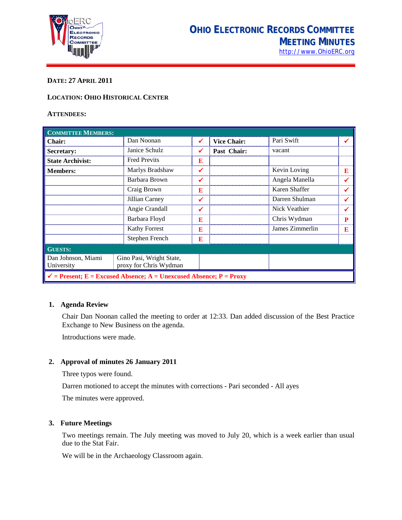

# **DATE: 27 APRIL 2011**

#### **LOCATION: OHIO HISTORICAL CENTER**

#### **ATTENDEES:**

| <b>COMMITTEE MEMBERS:</b>                                                     |                                                    |              |                    |                 |   |  |
|-------------------------------------------------------------------------------|----------------------------------------------------|--------------|--------------------|-----------------|---|--|
| <b>Chair:</b>                                                                 | Dan Noonan                                         | ✔            | <b>Vice Chair:</b> | Pari Swift      |   |  |
| Secretary:                                                                    | Janice Schulz                                      | ✔            | Past Chair:        | vacant          |   |  |
| <b>State Archivist:</b>                                                       | <b>Fred Previts</b>                                | E            |                    |                 |   |  |
| <b>Members:</b>                                                               | Marlys Bradshaw                                    | ✓            |                    | Kevin Loving    | E |  |
|                                                                               | Barbara Brown                                      | ✓            |                    | Angela Manella  |   |  |
|                                                                               | Craig Brown                                        | E            |                    | Karen Shaffer   |   |  |
|                                                                               | Jillian Carney                                     | ✔            |                    | Darren Shulman  |   |  |
|                                                                               | Angie Crandall                                     | $\checkmark$ |                    | Nick Veathier   |   |  |
|                                                                               | Barbara Floyd                                      | E            |                    | Chris Wydman    | P |  |
|                                                                               | <b>Kathy Forrest</b>                               | E            |                    | James Zimmerlin | E |  |
|                                                                               | Stephen French                                     | E            |                    |                 |   |  |
| <b>GUESTS:</b>                                                                |                                                    |              |                    |                 |   |  |
| Dan Johnson, Miami<br>University                                              | Gino Pasi, Wright State,<br>proxy for Chris Wydman |              |                    |                 |   |  |
| $\checkmark$ = Present; E = Excused Absence; A = Unexcused Absence; P = Proxy |                                                    |              |                    |                 |   |  |

#### **1. Agenda Review**

Chair Dan Noonan called the meeting to order at 12:33. Dan added discussion of the Best Practice Exchange to New Business on the agenda.

Introductions were made.

# **2. Approval of minutes 26 January 2011**

Three typos were found.

Darren motioned to accept the minutes with corrections - Pari seconded - All ayes

The minutes were approved.

# **3. Future Meetings**

Two meetings remain. The July meeting was moved to July 20, which is a week earlier than usual due to the Stat Fair.

We will be in the Archaeology Classroom again.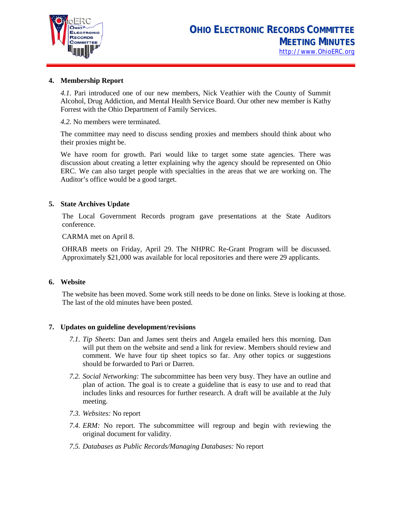

#### **4. Membership Report**

*4.1.* Pari introduced one of our new members, Nick Veathier with the County of Summit Alcohol, Drug Addiction, and Mental Health Service Board. Our other new member is Kathy Forrest with the Ohio Department of Family Services.

*4.2.* No members were terminated.

The committee may need to discuss sending proxies and members should think about who their proxies might be.

We have room for growth. Pari would like to target some state agencies. There was discussion about creating a letter explaining why the agency should be represented on Ohio ERC. We can also target people with specialties in the areas that we are working on. The Auditor's office would be a good target.

# **5. State Archives Update**

The Local Government Records program gave presentations at the State Auditors conference.

CARMA met on April 8.

OHRAB meets on Friday, April 29. The NHPRC Re-Grant Program will be discussed. Approximately \$21,000 was available for local repositories and there were 29 applicants.

# **6. Website**

The website has been moved. Some work still needs to be done on links. Steve is looking at those. The last of the old minutes have been posted.

# **7. Updates on guideline development/revisions**

- *7.1. Tip Sheets*: Dan and James sent theirs and Angela emailed hers this morning. Dan will put them on the website and send a link for review. Members should review and comment. We have four tip sheet topics so far. Any other topics or suggestions should be forwarded to Pari or Darren.
- *7.2. Social Networking:* The subcommittee has been very busy. They have an outline and plan of action. The goal is to create a guideline that is easy to use and to read that includes links and resources for further research. A draft will be available at the July meeting.
- *7.3. Websites:* No report
- *7.4. ERM:* No report. The subcommittee will regroup and begin with reviewing the original document for validity.
- *7.5. Databases as Public Records/Managing Databases:* No report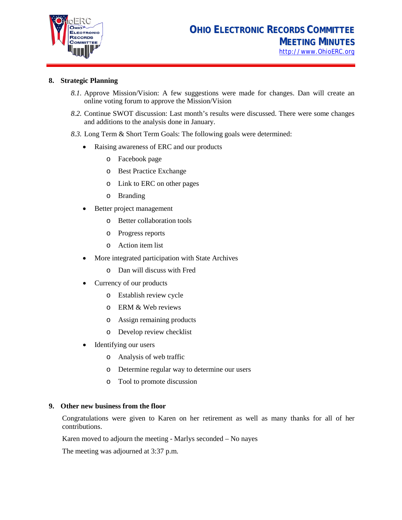

# **8. Strategic Planning**

- *8.1.* Approve Mission/Vision: A few suggestions were made for changes. Dan will create an online voting forum to approve the Mission/Vision
- *8.2.* Continue SWOT discussion: Last month's results were discussed. There were some changes and additions to the analysis done in January.
- *8.3.* Long Term & Short Term Goals: The following goals were determined:
	- Raising awareness of ERC and our products
		- o Facebook page
		- o Best Practice Exchange
		- o Link to ERC on other pages
		- o Branding
	- Better project management
		- o Better collaboration tools
		- o Progress reports
		- o Action item list
	- More integrated participation with State Archives
		- o Dan will discuss with Fred
	- Currency of our products
		- o Establish review cycle
		- o ERM & Web reviews
		- o Assign remaining products
		- o Develop review checklist
	- Identifying our users
		- o Analysis of web traffic
		- o Determine regular way to determine our users
		- o Tool to promote discussion

#### **9. Other new business from the floor**

Congratulations were given to Karen on her retirement as well as many thanks for all of her contributions.

Karen moved to adjourn the meeting - Marlys seconded – No nayes

The meeting was adjourned at 3:37 p.m.